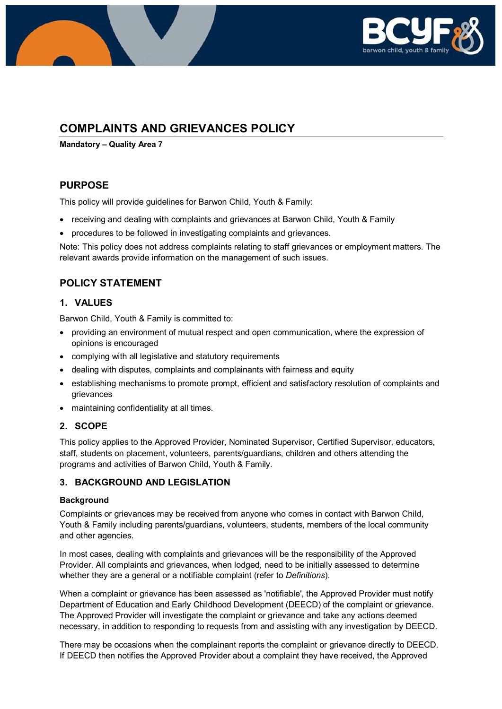

# **COMPLAINTS AND GRIEVANCES POLICY**

**Mandatory – Quality Area 7**

### **PURPOSE**

This policy will provide guidelines for Barwon Child, Youth & Family:

- receiving and dealing with complaints and grievances at Barwon Child, Youth & Family
- procedures to be followed in investigating complaints and grievances.

Note: This policy does not address complaints relating to staff grievances or employment matters. The relevant awards provide information on the management of such issues.

### **POLICY STATEMENT**

### **1. VALUES**

Barwon Child, Youth & Family is committed to:

- providing an environment of mutual respect and open communication, where the expression of opinions is encouraged
- complying with all legislative and statutory requirements
- dealing with disputes, complaints and complainants with fairness and equity
- establishing mechanisms to promote prompt, efficient and satisfactory resolution of complaints and grievances
- maintaining confidentiality at all times.

### **2. SCOPE**

This policy applies to the Approved Provider, Nominated Supervisor, Certified Supervisor, educators, staff, students on placement, volunteers, parents/guardians, children and others attending the programs and activities of Barwon Child, Youth & Family.

### **3. BACKGROUND AND LEGISLATION**

### **Background**

Complaints or grievances may be received from anyone who comes in contact with Barwon Child, Youth & Family including parents/guardians, volunteers, students, members of the local community and other agencies.

In most cases, dealing with complaints and grievances will be the responsibility of the Approved Provider. All complaints and grievances, when lodged, need to be initially assessed to determine whether they are a general or a notifiable complaint (refer to *Definitions*).

When a complaint or grievance has been assessed as 'notifiable', the Approved Provider must notify Department of Education and Early Childhood Development (DEECD) of the complaint or grievance. The Approved Provider will investigate the complaint or grievance and take any actions deemed necessary, in addition to responding to requests from and assisting with any investigation by DEECD.

There may be occasions when the complainant reports the complaint or grievance directly to DEECD. If DEECD then notifies the Approved Provider about a complaint they have received, the Approved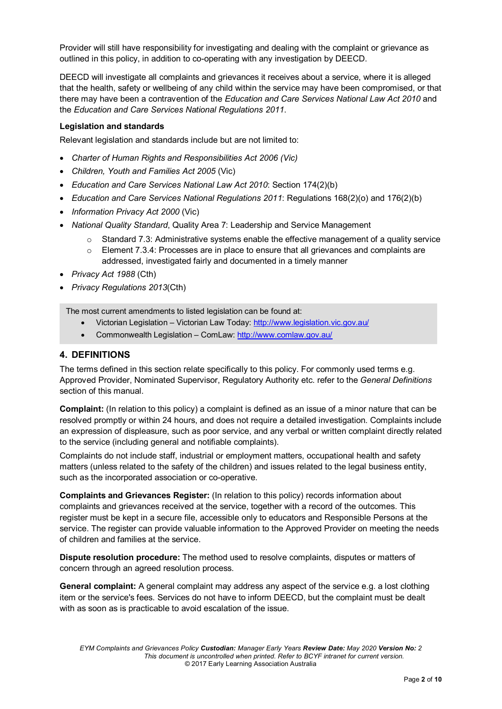Provider will still have responsibility for investigating and dealing with the complaint or grievance as outlined in this policy, in addition to co-operating with any investigation by DEECD.

DEECD will investigate all complaints and grievances it receives about a service, where it is alleged that the health, safety or wellbeing of any child within the service may have been compromised, or that there may have been a contravention of the *Education and Care Services National Law Act 2010* and the *Education and Care Services National Regulations 2011*.

### **Legislation and standards**

Relevant legislation and standards include but are not limited to:

- *Charter of Human Rights and Responsibilities Act 2006 (Vic)*
- *Children, Youth and Families Act 2005* (Vic)
- *Education and Care Services National Law Act 2010*: Section 174(2)(b)
- *Education and Care Services National Regulations 2011*: Regulations 168(2)(o) and 176(2)(b)
- *Information Privacy Act 2000* (Vic)
- *National Quality Standard*, Quality Area 7: Leadership and Service Management
	- $\circ$  Standard 7.3: Administrative systems enable the effective management of a quality service
	- $\circ$  Element 7.3.4: Processes are in place to ensure that all grievances and complaints are addressed, investigated fairly and documented in a timely manner
- *Privacy Act 1988* (Cth)
- *Privacy Regulations 2013*(Cth)

The most current amendments to listed legislation can be found at:

- Victorian Legislation Victorian Law Today:<http://www.legislation.vic.gov.au/>
- Commonwealth Legislation ComLaw:<http://www.comlaw.gov.au/>

### **4. DEFINITIONS**

The terms defined in this section relate specifically to this policy. For commonly used terms e.g. Approved Provider, Nominated Supervisor, Regulatory Authority etc. refer to the *General Definitions* section of this manual.

**Complaint:** (In relation to this policy) a complaint is defined as an issue of a minor nature that can be resolved promptly or within 24 hours, and does not require a detailed investigation. Complaints include an expression of displeasure, such as poor service, and any verbal or written complaint directly related to the service (including general and notifiable complaints).

Complaints do not include staff, industrial or employment matters, occupational health and safety matters (unless related to the safety of the children) and issues related to the legal business entity, such as the incorporated association or co-operative.

**Complaints and Grievances Register:** (In relation to this policy) records information about complaints and grievances received at the service, together with a record of the outcomes. This register must be kept in a secure file, accessible only to educators and Responsible Persons at the service. The register can provide valuable information to the Approved Provider on meeting the needs of children and families at the service.

**Dispute resolution procedure:** The method used to resolve complaints, disputes or matters of concern through an agreed resolution process.

**General complaint:** A general complaint may address any aspect of the service e.g. a lost clothing item or the service's fees. Services do not have to inform DEECD, but the complaint must be dealt with as soon as is practicable to avoid escalation of the issue.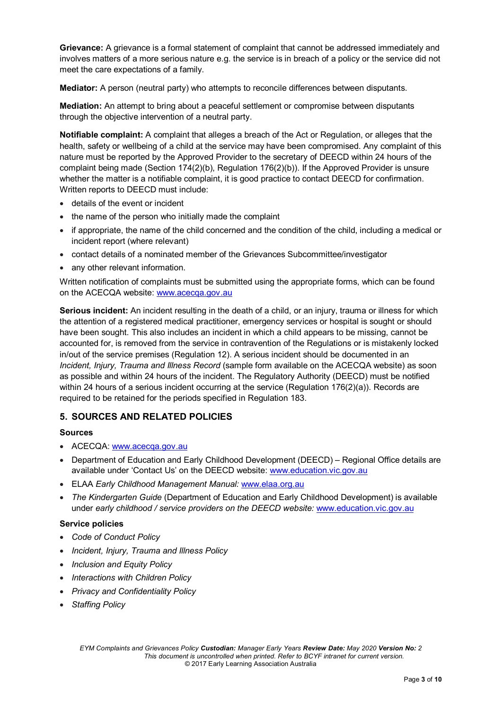**Grievance:** A grievance is a formal statement of complaint that cannot be addressed immediately and involves matters of a more serious nature e.g. the service is in breach of a policy or the service did not meet the care expectations of a family.

**Mediator:** A person (neutral party) who attempts to reconcile differences between disputants.

**Mediation:** An attempt to bring about a peaceful settlement or compromise between disputants through the objective intervention of a neutral party.

**Notifiable complaint:** A complaint that alleges a breach of the Act or Regulation, or alleges that the health, safety or wellbeing of a child at the service may have been compromised. Any complaint of this nature must be reported by the Approved Provider to the secretary of DEECD within 24 hours of the complaint being made (Section 174(2)(b), Regulation 176(2)(b)). If the Approved Provider is unsure whether the matter is a notifiable complaint, it is good practice to contact DEECD for confirmation. Written reports to DEECD must include:

- details of the event or incident
- the name of the person who initially made the complaint
- if appropriate, the name of the child concerned and the condition of the child, including a medical or incident report (where relevant)
- contact details of a nominated member of the Grievances Subcommittee/investigator
- any other relevant information.

Written notification of complaints must be submitted using the appropriate forms, which can be found on the ACECQA website: [www.acecqa.gov.au](http://www.acecqa.gov.au/)

**Serious incident:** An incident resulting in the death of a child, or an injury, trauma or illness for which the attention of a registered medical practitioner, emergency services or hospital is sought or should have been sought. This also includes an incident in which a child appears to be missing, cannot be accounted for, is removed from the service in contravention of the Regulations or is mistakenly locked in/out of the service premises (Regulation 12). A serious incident should be documented in an *Incident, Injury, Trauma and Illness Record* (sample form available on the ACECQA website) as soon as possible and within 24 hours of the incident. The Regulatory Authority (DEECD) must be notified within 24 hours of a serious incident occurring at the service (Regulation 176(2)(a)). Records are required to be retained for the periods specified in Regulation 183.

### **5. SOURCES AND RELATED POLICIES**

### **Sources**

- ACECQA: [www.acecqa.gov.au](http://www.acecqa.gov.au/)
- Department of Education and Early Childhood Development (DEECD) Regional Office details are available under 'Contact Us' on the DEECD website: [www.education.vic.gov.au](http://www.education.vic.gov.au/)
- ELAA *Early Childhood Management Manual:* [www.elaa.org.au](http://www.elaa.org.au/)
- *The Kindergarten Guide* (Department of Education and Early Childhood Development) is available under *early childhood / service providers on the DEECD website:* [www.education.vic.gov.au](http://www.education.vic.gov.au/)

### **Service policies**

- *Code of Conduct Policy*
- *Incident, Injury, Trauma and Illness Policy*
- *Inclusion and Equity Policy*
- *Interactions with Children Policy*
- *Privacy and Confidentiality Policy*
- *Staffing Policy*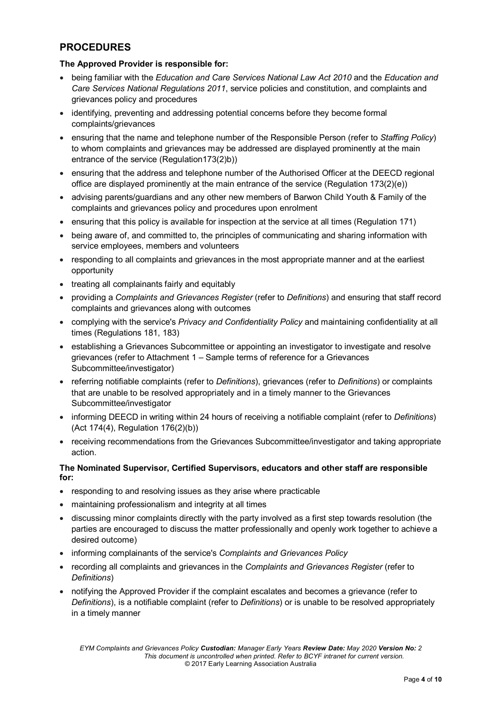# **PROCEDURES**

### **The Approved Provider is responsible for:**

- being familiar with the *Education and Care Services National Law Act 2010* and the *Education and Care Services National Regulations 2011*, service policies and constitution, and complaints and grievances policy and procedures
- identifying, preventing and addressing potential concerns before they become formal complaints/grievances
- ensuring that the name and telephone number of the Responsible Person (refer to *Staffing Policy*) to whom complaints and grievances may be addressed are displayed prominently at the main entrance of the service (Regulation173(2)b))
- ensuring that the address and telephone number of the Authorised Officer at the DEECD regional office are displayed prominently at the main entrance of the service (Regulation 173(2)(e))
- advising parents/guardians and any other new members of Barwon Child Youth & Family of the complaints and grievances policy and procedures upon enrolment
- ensuring that this policy is available for inspection at the service at all times (Regulation 171)
- being aware of, and committed to, the principles of communicating and sharing information with service employees, members and volunteers
- responding to all complaints and grievances in the most appropriate manner and at the earliest opportunity
- treating all complainants fairly and equitably
- providing a *Complaints and Grievances Register* (refer to *Definitions*) and ensuring that staff record complaints and grievances along with outcomes
- complying with the service's *Privacy and Confidentiality Policy* and maintaining confidentiality at all times (Regulations 181, 183)
- establishing a Grievances Subcommittee or appointing an investigator to investigate and resolve grievances (refer to Attachment 1 – Sample terms of reference for a Grievances Subcommittee/investigator)
- referring notifiable complaints (refer to *Definitions*), grievances (refer to *Definitions*) or complaints that are unable to be resolved appropriately and in a timely manner to the Grievances Subcommittee/investigator
- informing DEECD in writing within 24 hours of receiving a notifiable complaint (refer to *Definitions*) (Act 174(4), Regulation 176(2)(b))
- receiving recommendations from the Grievances Subcommittee/investigator and taking appropriate action.

### **The Nominated Supervisor, Certified Supervisors, educators and other staff are responsible for:**

- responding to and resolving issues as they arise where practicable
- maintaining professionalism and integrity at all times
- discussing minor complaints directly with the party involved as a first step towards resolution (the parties are encouraged to discuss the matter professionally and openly work together to achieve a desired outcome)
- informing complainants of the service's *Complaints and Grievances Policy*
- recording all complaints and grievances in the *Complaints and Grievances Register* (refer to *Definitions*)
- notifying the Approved Provider if the complaint escalates and becomes a grievance (refer to *Definitions*), is a notifiable complaint (refer to *Definitions*) or is unable to be resolved appropriately in a timely manner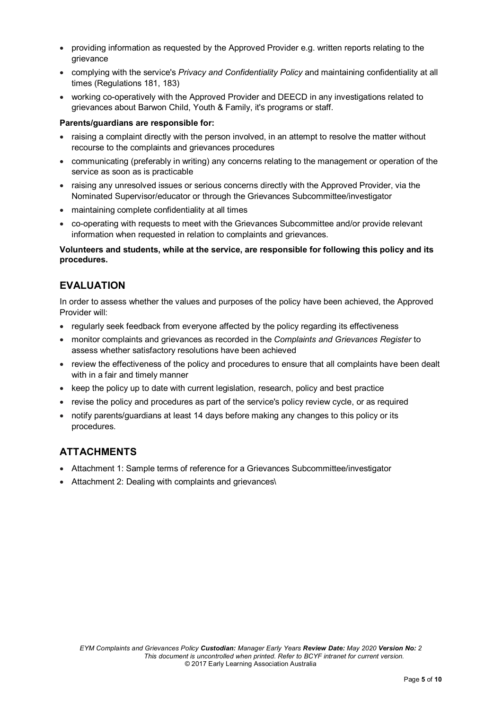- providing information as requested by the Approved Provider e.g. written reports relating to the grievance
- complying with the service's *Privacy and Confidentiality Policy* and maintaining confidentiality at all times (Regulations 181, 183)
- working co-operatively with the Approved Provider and DEECD in any investigations related to grievances about Barwon Child, Youth & Family, it's programs or staff.

#### **Parents/guardians are responsible for:**

- raising a complaint directly with the person involved, in an attempt to resolve the matter without recourse to the complaints and grievances procedures
- communicating (preferably in writing) any concerns relating to the management or operation of the service as soon as is practicable
- raising any unresolved issues or serious concerns directly with the Approved Provider, via the Nominated Supervisor/educator or through the Grievances Subcommittee/investigator
- maintaining complete confidentiality at all times
- co-operating with requests to meet with the Grievances Subcommittee and/or provide relevant information when requested in relation to complaints and grievances.

### **Volunteers and students, while at the service, are responsible for following this policy and its procedures.**

### **EVALUATION**

In order to assess whether the values and purposes of the policy have been achieved, the Approved Provider will:

- regularly seek feedback from everyone affected by the policy regarding its effectiveness
- monitor complaints and grievances as recorded in the *Complaints and Grievances Register* to assess whether satisfactory resolutions have been achieved
- review the effectiveness of the policy and procedures to ensure that all complaints have been dealt with in a fair and timely manner
- keep the policy up to date with current legislation, research, policy and best practice
- revise the policy and procedures as part of the service's policy review cycle, or as required
- notify parents/guardians at least 14 days before making any changes to this policy or its procedures.

### **ATTACHMENTS**

- Attachment 1: Sample terms of reference for a Grievances Subcommittee/investigator
- Attachment 2: Dealing with complaints and grievances\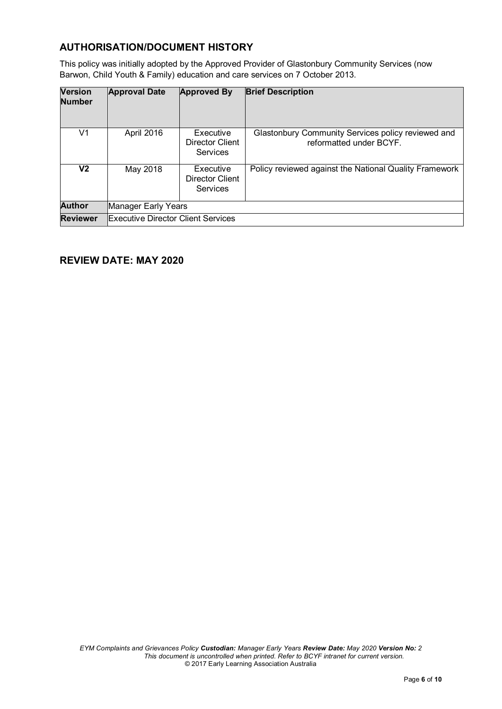# **AUTHORISATION/DOCUMENT HISTORY**

This policy was initially adopted by the Approved Provider of Glastonbury Community Services (now Barwon, Child Youth & Family) education and care services on 7 October 2013.

| <b>Version</b><br><b>Number</b> | <b>Approval Date</b>                      | <b>Approved By</b>                              | <b>Brief Description</b>                                                      |
|---------------------------------|-------------------------------------------|-------------------------------------------------|-------------------------------------------------------------------------------|
| V1                              | April 2016                                | Executive<br><b>Director Client</b><br>Services | Glastonbury Community Services policy reviewed and<br>reformatted under BCYF. |
| V2                              | May 2018                                  | Executive<br>Director Client<br>Services        | Policy reviewed against the National Quality Framework                        |
| <b>Author</b>                   | Manager Early Years                       |                                                 |                                                                               |
| <b>Reviewer</b>                 | <b>Executive Director Client Services</b> |                                                 |                                                                               |

## **REVIEW DATE: MAY 2020**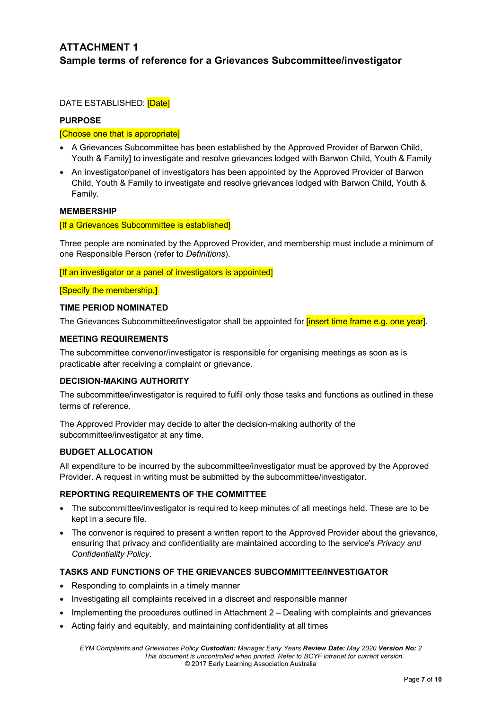# **ATTACHMENT 1 Sample terms of reference for a Grievances Subcommittee/investigator**

DATE ESTABLISHED: [Date]

### **PURPOSE**

### [Choose one that is appropriate]

- A Grievances Subcommittee has been established by the Approved Provider of Barwon Child, Youth & Family] to investigate and resolve grievances lodged with Barwon Child, Youth & Family
- An investigator/panel of investigators has been appointed by the Approved Provider of Barwon Child, Youth & Family to investigate and resolve grievances lodged with Barwon Child, Youth & Family.

### **MEMBERSHIP**

#### [If a Grievances Subcommittee is established]

Three people are nominated by the Approved Provider, and membership must include a minimum of one Responsible Person (refer to *Definitions*).

**If an investigator or a panel of investigators is appointed]** 

**[Specify the membership.]** 

#### **TIME PERIOD NOMINATED**

The Grievances Subcommittee/investigator shall be appointed for **linsert time frame e.g. one year**].

#### **MEETING REQUIREMENTS**

The subcommittee convenor/investigator is responsible for organising meetings as soon as is practicable after receiving a complaint or grievance.

### **DECISION-MAKING AUTHORITY**

The subcommittee/investigator is required to fulfil only those tasks and functions as outlined in these terms of reference.

The Approved Provider may decide to alter the decision-making authority of the subcommittee/investigator at any time.

### **BUDGET ALLOCATION**

All expenditure to be incurred by the subcommittee/investigator must be approved by the Approved Provider. A request in writing must be submitted by the subcommittee/investigator.

### **REPORTING REQUIREMENTS OF THE COMMITTEE**

- The subcommittee/investigator is required to keep minutes of all meetings held. These are to be kept in a secure file.
- The convenor is required to present a written report to the Approved Provider about the grievance, ensuring that privacy and confidentiality are maintained according to the service's *Privacy and Confidentiality Policy*.

### **TASKS AND FUNCTIONS OF THE GRIEVANCES SUBCOMMITTEE/INVESTIGATOR**

- Responding to complaints in a timely manner
- Investigating all complaints received in a discreet and responsible manner
- Implementing the procedures outlined in Attachment 2 Dealing with complaints and grievances
- Acting fairly and equitably, and maintaining confidentiality at all times

*EYM Complaints and Grievances Policy Custodian: Manager Early Years Review Date: May 2020 Version No: 2 This document is uncontrolled when printed. Refer to BCYF intranet for current version.* © 2017 Early Learning Association Australia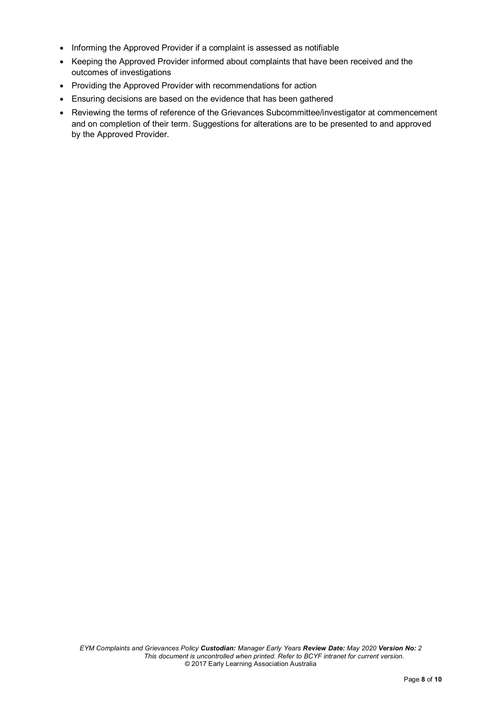- Informing the Approved Provider if a complaint is assessed as notifiable
- Keeping the Approved Provider informed about complaints that have been received and the outcomes of investigations
- Providing the Approved Provider with recommendations for action
- Ensuring decisions are based on the evidence that has been gathered
- Reviewing the terms of reference of the Grievances Subcommittee/investigator at commencement and on completion of their term. Suggestions for alterations are to be presented to and approved by the Approved Provider.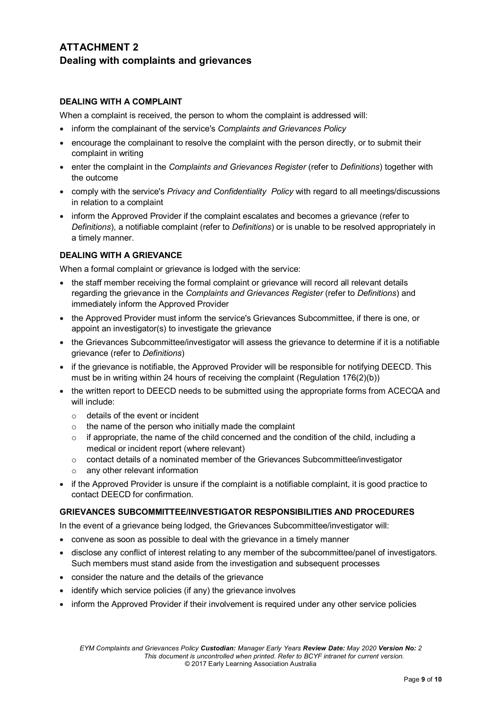# **ATTACHMENT 2 Dealing with complaints and grievances**

### **DEALING WITH A COMPLAINT**

When a complaint is received, the person to whom the complaint is addressed will:

- inform the complainant of the service's *Complaints and Grievances Policy*
- encourage the complainant to resolve the complaint with the person directly, or to submit their complaint in writing
- enter the complaint in the *Complaints and Grievances Register* (refer to *Definitions*) together with the outcome
- comply with the service's *Privacy and Confidentiality Policy* with regard to all meetings/discussions in relation to a complaint
- inform the Approved Provider if the complaint escalates and becomes a grievance (refer to *Definitions*), a notifiable complaint (refer to *Definitions*) or is unable to be resolved appropriately in a timely manner.

### **DEALING WITH A GRIEVANCE**

When a formal complaint or grievance is lodged with the service:

- the staff member receiving the formal complaint or grievance will record all relevant details regarding the grievance in the *Complaints and Grievances Register* (refer to *Definitions*) and immediately inform the Approved Provider
- the Approved Provider must inform the service's Grievances Subcommittee, if there is one, or appoint an investigator(s) to investigate the grievance
- the Grievances Subcommittee/investigator will assess the grievance to determine if it is a notifiable grievance (refer to *Definitions*)
- if the grievance is notifiable, the Approved Provider will be responsible for notifying DEECD. This must be in writing within 24 hours of receiving the complaint (Regulation 176(2)(b))
- the written report to DEECD needs to be submitted using the appropriate forms from ACECQA and will include:
	- $\circ$  details of the event or incident
	- $\circ$  the name of the person who initially made the complaint
	- o if appropriate, the name of the child concerned and the condition of the child, including a medical or incident report (where relevant)
	- $\circ$  contact details of a nominated member of the Grievances Subcommittee/investigator
	- o any other relevant information
- if the Approved Provider is unsure if the complaint is a notifiable complaint, it is good practice to contact DEECD for confirmation.

### **GRIEVANCES SUBCOMMITTEE/INVESTIGATOR RESPONSIBILITIES AND PROCEDURES**

In the event of a grievance being lodged, the Grievances Subcommittee/investigator will:

- convene as soon as possible to deal with the grievance in a timely manner
- disclose any conflict of interest relating to any member of the subcommittee/panel of investigators. Such members must stand aside from the investigation and subsequent processes
- consider the nature and the details of the grievance
- identify which service policies (if any) the grievance involves
- inform the Approved Provider if their involvement is required under any other service policies